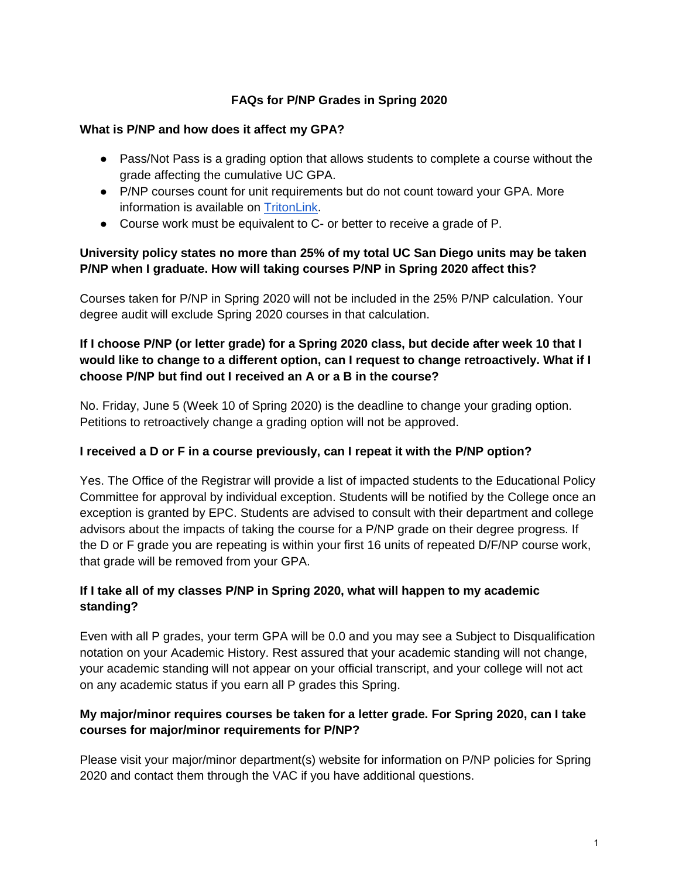## **FAQs for P/NP Grades in Spring 2020**

#### **What is P/NP and how does it affect my GPA?**

- Pass/Not Pass is a grading option that allows students to complete a course without the grade affecting the cumulative UC GPA.
- P/NP courses count for unit requirements but do not count toward your GPA. More information is available on [TritonLink.](https://students.ucsd.edu/academics/exams-grades-transcripts/grades/pass-not-pass-grade.html)
- Course work must be equivalent to C- or better to receive a grade of P.

## **University policy states no more than 25% of my total UC San Diego units may be taken P/NP when I graduate. How will taking courses P/NP in Spring 2020 affect this?**

Courses taken for P/NP in Spring 2020 will not be included in the 25% P/NP calculation. Your degree audit will exclude Spring 2020 courses in that calculation.

## **If I choose P/NP (or letter grade) for a Spring 2020 class, but decide after week 10 that I would like to change to a different option, can I request to change retroactively. What if I choose P/NP but find out I received an A or a B in the course?**

No. Friday, June 5 (Week 10 of Spring 2020) is the deadline to change your grading option. Petitions to retroactively change a grading option will not be approved.

### **I received a D or F in a course previously, can I repeat it with the P/NP option?**

Yes. The Office of the Registrar will provide a list of impacted students to the Educational Policy Committee for approval by individual exception. Students will be notified by the College once an exception is granted by EPC. Students are advised to consult with their department and college advisors about the impacts of taking the course for a P/NP grade on their degree progress. If the D or F grade you are repeating is within your first 16 units of repeated D/F/NP course work, that grade will be removed from your GPA.

# **If I take all of my classes P/NP in Spring 2020, what will happen to my academic standing?**

Even with all P grades, your term GPA will be 0.0 and you may see a Subject to Disqualification notation on your Academic History. Rest assured that your academic standing will not change, your academic standing will not appear on your official transcript, and your college will not act on any academic status if you earn all P grades this Spring.

### **My major/minor requires courses be taken for a letter grade. For Spring 2020, can I take courses for major/minor requirements for P/NP?**

Please visit your major/minor department(s) website for information on P/NP policies for Spring 2020 and contact them through the VAC if you have additional questions.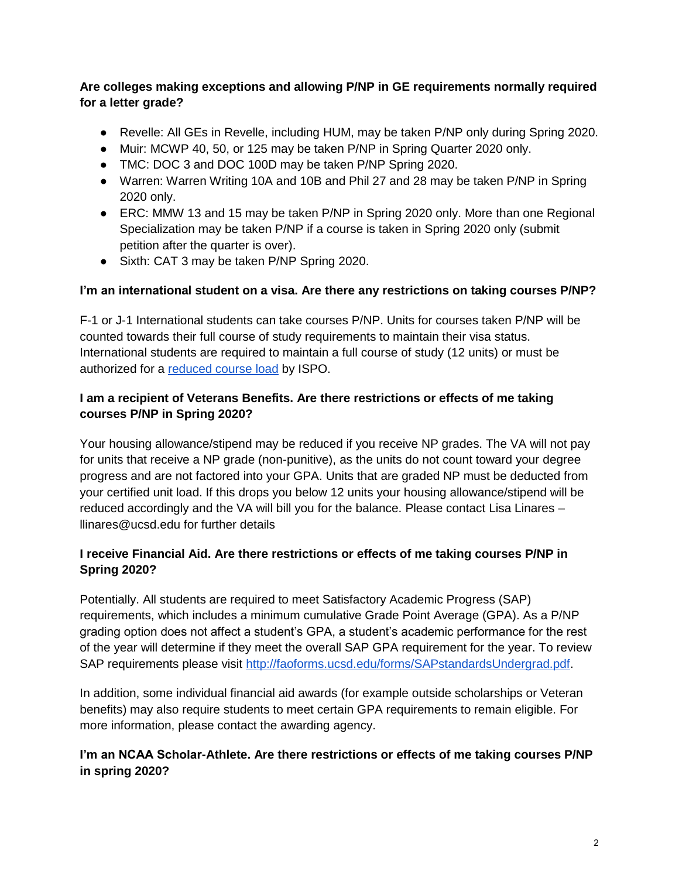# **Are colleges making exceptions and allowing P/NP in GE requirements normally required for a letter grade?**

- Revelle: All GEs in Revelle, including HUM, may be taken P/NP only during Spring 2020.
- Muir: MCWP 40, 50, or 125 may be taken P/NP in Spring Quarter 2020 only.
- TMC: DOC 3 and DOC 100D may be taken P/NP Spring 2020.
- Warren: Warren Writing 10A and 10B and Phil 27 and 28 may be taken P/NP in Spring 2020 only.
- ERC: MMW 13 and 15 may be taken P/NP in Spring 2020 only. More than one Regional Specialization may be taken P/NP if a course is taken in Spring 2020 only (submit petition after the quarter is over).
- Sixth: CAT 3 may be taken P/NP Spring 2020.

### **I'm an international student on a visa. Are there any restrictions on taking courses P/NP?**

F-1 or J-1 International students can take courses P/NP. Units for courses taken P/NP will be counted towards their full course of study requirements to maintain their visa status. International students are required to maintain a full course of study (12 units) or must be authorized for a [reduced course load](https://ispo.ucsd.edu/advising/visa/current-returning-students/visa-status/maintaining-status/reduced-course-load/index.html) by ISPO.

## **I am a recipient of Veterans Benefits. Are there restrictions or effects of me taking courses P/NP in Spring 2020?**

Your housing allowance/stipend may be reduced if you receive NP grades. The VA will not pay for units that receive a NP grade (non-punitive), as the units do not count toward your degree progress and are not factored into your GPA. Units that are graded NP must be deducted from your certified unit load. If this drops you below 12 units your housing allowance/stipend will be reduced accordingly and the VA will bill you for the balance. Please contact Lisa Linares – llinares@ucsd.edu for further details

# **I receive Financial Aid. Are there restrictions or effects of me taking courses P/NP in Spring 2020?**

Potentially. All students are required to meet Satisfactory Academic Progress (SAP) requirements, which includes a minimum cumulative Grade Point Average (GPA). As a P/NP grading option does not affect a student's GPA, a student's academic performance for the rest of the year will determine if they meet the overall SAP GPA requirement for the year. To review SAP requirements please visit [http://faoforms.ucsd.edu/forms/SAPstandardsUndergrad.pdf.](http://faoforms.ucsd.edu/forms/SAPstandardsUndergrad.pdf)

In addition, some individual financial aid awards (for example outside scholarships or Veteran benefits) may also require students to meet certain GPA requirements to remain eligible. For more information, please contact the awarding agency.

# **I'm an NCAA Scholar-Athlete. Are there restrictions or effects of me taking courses P/NP in spring 2020?**